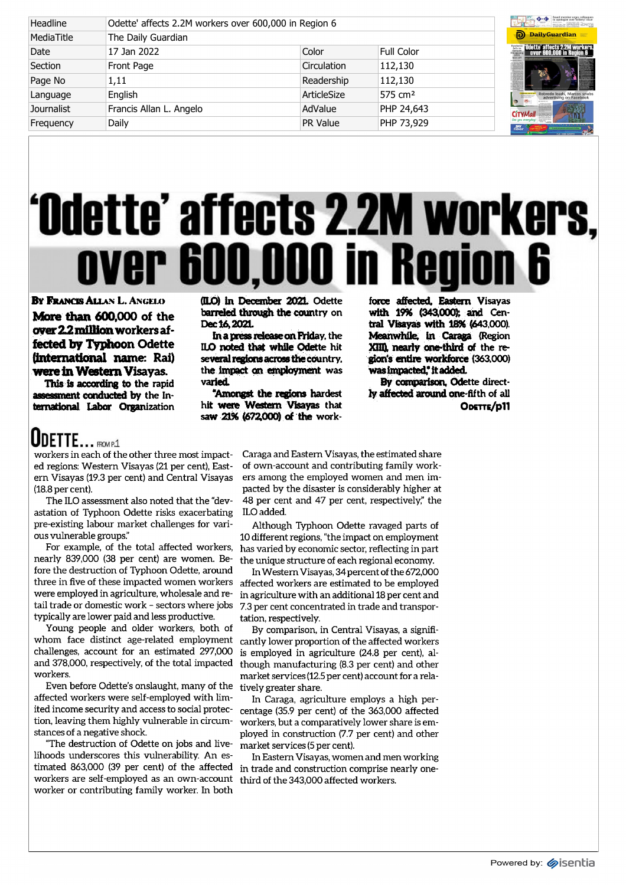| Headline   | Odette' affects 2.2M workers over 600,000 in Region 6 | Board member urges collear<br>to apologize over bribery is |                     |                                                                      |
|------------|-------------------------------------------------------|------------------------------------------------------------|---------------------|----------------------------------------------------------------------|
| MediaTitle | The Daily Guardian                                    | <b>D</b> DailyGuardian                                     |                     |                                                                      |
| Date       | 17 Jan 2022                                           | Color                                                      | <b>Full Color</b>   | <b>Frage Odette' affects 2.2M worker</b><br>over 600,000 in Region 6 |
| Section    | Front Page                                            | Circulation                                                | 112,130             |                                                                      |
| Page No    | 1,11                                                  | Readership                                                 | 112,130             |                                                                      |
| Language   | English                                               | ArticleSize                                                | 575 cm <sup>2</sup> | Robredo leads, Marcos snu<br>advertising on Facebool                 |
| Journalist | Francis Allan L. Angelo                               | AdValue                                                    | PHP 24,643          | <b>CITYMall</b>                                                      |
| Frequency  | Daily                                                 | PR Value                                                   | PHP 73,929          | riber                                                                |

## Ddette' affects 2.2M workers, over 600,000 in Region 6

By Francis Allan L. Angelo More than 600,000 of the over 22 million workers affected by Typhoon Odette (international name: Rai) were in Western Visayas.

This is according to the rapid assessment conducted by the International Labor Organization

ODETTE... FROM P.1

workers in each of the other three most impacted regions: Western Visayas (21 per cent), Eastern Visayas (19.3 per cent) and Central Visayas (18.8 per cent).

The ILO assessment also noted that the "devastation of Typhoon Odette risks exacerbating pre-existing labour market challenges for various vulnerable groups."

For example, of the total affected workers, nearly 839,000 (38 per cent) are women. Before the destruction of Typhoon Odette, around were employed in agriculture, wholesale and retail trade or domestic work - sectors where jobs typically are lower paid and less productive.

Young people and older workers, both of challenges, account for an estimated 297,000 and 378,000, respectively, of the total impacted workers.

Even before Odette's onslaught, many of the affected workers were self-employed with limited income security and access to social protection, leaving them highly vulnerable in circumstances of a negative shock.

"The destruction of Odette on jobs and livelihoods underscores this vulnerability. An esworkers are self-employed as an own-account worker or contributing family worker. In both

0LO) in December 202L Odette barreled through the country on Dec 16, 2021.

InapressreleaseonFHday, the ILO noted that while Odette hit several regions across the country, the impact an employment was varied.

'Amongst the regions hardest hit were Western Visayas that saw 21% (672,000) of the work-

force affected. Eastern Visayas with 19% (343,000% and Central Visayas with 18% (643,000). Meanwhile, in Caraga (Region XIII), nearly one-third of the region's entire workforce (363,000) was impacted,\* it added.

By comparison. Odette directly affected around one-fifth of all Odstte/p11

Caraga and Eastern Visayas, the estimated share of own-account and contributing family workers among the employed women and men impacted by the disaster is considerably higher at 48 per cent and 47 per cent, respectively," the ILO added.

Although Typhoon Odette ravaged parts of 10 different regions, "the impact on employment has varied by economic sector, reflecting in part the unique structure of each regional economy.

three in five of these impacted women workers affected workers are estimated to be employed In Western Visayas, 34 percent of the 672,000 in agriculture with an additional 18 per cent and 7.3 per cent concentrated in trade and transportation, respectively.

whom face distinct age-related employment cantly lower proportion of the affected workers By comparison, in Central Visayas, a signifiis employed in agriculture (24.8 per cent), although manufacturing (8.3 per cent) and other market services (12.5 per cent) account for a relatively greater share.

> In Caraga, agriculture employs a high percentage (35.9 per cent) of the 363,000 affected workers, but a comparatively lower share is employed in construction (7.7 per cent) and other market services (5 per cent).

timated 863,000 (39 per cent) of the affected in trade and construction comprise nearly one-In Eastern Visayas, women and men working third of the 343,000 affected workers.